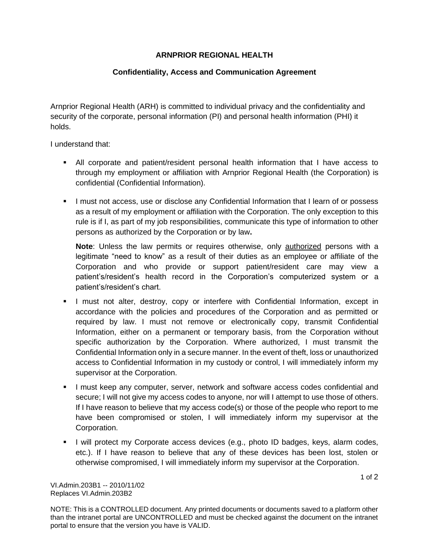## **ARNPRIOR REGIONAL HEALTH**

## **Confidentiality, Access and Communication Agreement**

Arnprior Regional Health (ARH) is committed to individual privacy and the confidentiality and security of the corporate, personal information (PI) and personal health information (PHI) it holds.

I understand that:

- All corporate and patient/resident personal health information that I have access to through my employment or affiliation with Arnprior Regional Health (the Corporation) is confidential (Confidential Information).
- **EXECT** I must not access, use or disclose any Confidential Information that I learn of or possess as a result of my employment or affiliation with the Corporation. The only exception to this rule is if I, as part of my job responsibilities, communicate this type of information to other persons as authorized by the Corporation or by law**.**

**Note**: Unless the law permits or requires otherwise, only authorized persons with a legitimate "need to know" as a result of their duties as an employee or affiliate of the Corporation and who provide or support patient/resident care may view a patient's/resident's health record in the Corporation's computerized system or a patient's/resident's chart.

- **.** I must not alter, destroy, copy or interfere with Confidential Information, except in accordance with the policies and procedures of the Corporation and as permitted or required by law. I must not remove or electronically copy, transmit Confidential Information, either on a permanent or temporary basis, from the Corporation without specific authorization by the Corporation. Where authorized, I must transmit the Confidential Information only in a secure manner. In the event of theft, loss or unauthorized access to Confidential Information in my custody or control, I will immediately inform my supervisor at the Corporation.
- I must keep any computer, server, network and software access codes confidential and secure; I will not give my access codes to anyone, nor will I attempt to use those of others. If I have reason to believe that my access code(s) or those of the people who report to me have been compromised or stolen, I will immediately inform my supervisor at the Corporation.
- **.** I will protect my Corporate access devices (e.g., photo ID badges, keys, alarm codes, etc.). If I have reason to believe that any of these devices has been lost, stolen or otherwise compromised, I will immediately inform my supervisor at the Corporation.

VI.Admin.203B1 -- 2010/11/02 Replaces VI.Admin.203B2

NOTE: This is a CONTROLLED document. Any printed documents or documents saved to a platform other than the intranet portal are UNCONTROLLED and must be checked against the document on the intranet portal to ensure that the version you have is VALID.

1 of 2